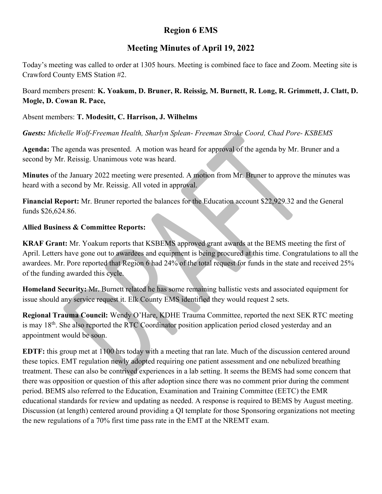# Region 6 EMS

## Meeting Minutes of April 19, 2022

Today's meeting was called to order at 1305 hours. Meeting is combined face to face and Zoom. Meeting site is Crawford County EMS Station #2.

Board members present: K. Yoakum, D. Bruner, R. Reissig, M. Burnett, R. Long, R. Grimmett, J. Clatt, D. Mogle, D. Cowan R. Pace,

#### Absent members: T. Modesitt, C. Harrison, J. Wilhelms

Guests: Michelle Wolf-Freeman Health, Sharlyn Splean-Freeman Stroke Coord, Chad Pore-KSBEMS

Agenda: The agenda was presented. A motion was heard for approval of the agenda by Mr. Bruner and a second by Mr. Reissig. Unanimous vote was heard.

Minutes of the January 2022 meeting were presented. A motion from Mr. Bruner to approve the minutes was heard with a second by Mr. Reissig. All voted in approval.

Financial Report: Mr. Bruner reported the balances for the Education account \$22,929.32 and the General funds \$26,624.86.

#### Allied Business & Committee Reports:

KRAF Grant: Mr. Yoakum reports that KSBEMS approved grant awards at the BEMS meeting the first of April. Letters have gone out to awardees and equipment is being procured at this time. Congratulations to all the awardees. Mr. Pore reported that Region 6 had 24% of the total request for funds in the state and received 25% of the funding awarded this cycle.

Homeland Security: Mr. Burnett related he has some remaining ballistic vests and associated equipment for issue should any service request it. Elk County EMS identified they would request 2 sets.

Regional Trauma Council: Wendy O'Hare, KDHE Trauma Committee, reported the next SEK RTC meeting is may  $18<sup>th</sup>$ . She also reported the RTC Coordinator position application period closed yesterday and an appointment would be soon.

EDTF: this group met at 1100 hrs today with a meeting that ran late. Much of the discussion centered around these topics. EMT regulation newly adopted requiring one patient assessment and one nebulized breathing treatment. These can also be contrived experiences in a lab setting. It seems the BEMS had some concern that there was opposition or question of this after adoption since there was no comment prior during the comment period. BEMS also referred to the Education, Examination and Training Committee (EETC) the EMR educational standards for review and updating as needed. A response is required to BEMS by August meeting. Discussion (at length) centered around providing a QI template for those Sponsoring organizations not meeting the new regulations of a 70% first time pass rate in the EMT at the NREMT exam.